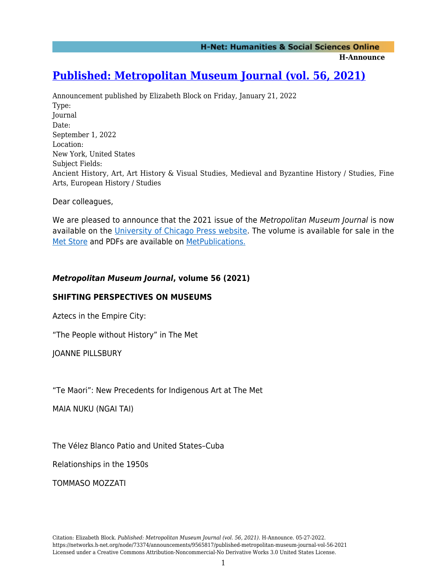**H-Announce** 

# **[Published: Metropolitan Museum Journal \(vol. 56, 2021\)](https://networks.h-net.org/node/73374/announcements/9565817/published-metropolitan-museum-journal-vol-56-2021)**

Announcement published by Elizabeth Block on Friday, January 21, 2022 Type: Journal Date: September 1, 2022 Location: New York, United States Subject Fields: Ancient History, Art, Art History & Visual Studies, Medieval and Byzantine History / Studies, Fine Arts, European History / Studies

Dear colleagues,

We are pleased to announce that the 2021 issue of the Metropolitan Museum Journal is now available on the [University of Chicago Press website.](https://www.journals.uchicago.edu/toc/met/current) The volume is available for sale in the [Met Store](https://store.metmuseum.org/metropolitan-museum-journal-volume-56-2021) and PDFs are available on [MetPublications](https://www.metmuseum.org/art/metpublications/mma-journals?searchtype=C&pt=%7BAA2EA5AF-D293-44E9-B972-579457F115AB%7D&sort=PublicationYear%7CDesc).

# *Metropolitan Museum Journal***, volume 56 (2021)**

# **SHIFTING PERSPECTIVES ON MUSEUMS**

Aztecs in the Empire City:

"The People without History" in The Met

JOANNE PILLSBURY

"Te Maori": New Precedents for Indigenous Art at The Met

MAIA NUKU (NGAI TAI)

The Vélez Blanco Patio and United States–Cuba

Relationships in the 1950s

TOMMASO MOZZATI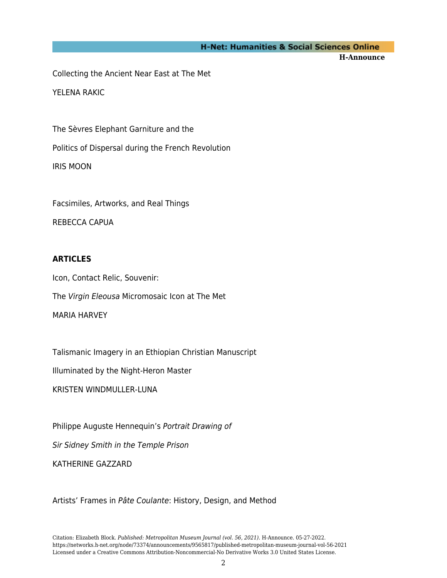#### **H-Net: Humanities & Social Sciences Online**

**H-Announce** 

Collecting the Ancient Near East at The Met YELENA RAKIC

The Sèvres Elephant Garniture and the

Politics of Dispersal during the French Revolution

IRIS MOON

Facsimiles, Artworks, and Real Things

REBECCA CAPUA

# **ARTICLES**

Icon, Contact Relic, Souvenir: The Virgin Eleousa Micromosaic Icon at The Met MARIA HARVEY

Talismanic Imagery in an Ethiopian Christian Manuscript

Illuminated by the Night-Heron Master

KRISTEN WINDMULLER-LUNA

Philippe Auguste Hennequin's Portrait Drawing of

Sir Sidney Smith in the Temple Prison

KATHERINE GAZZARD

Artists' Frames in Pâte Coulante: History, Design, and Method